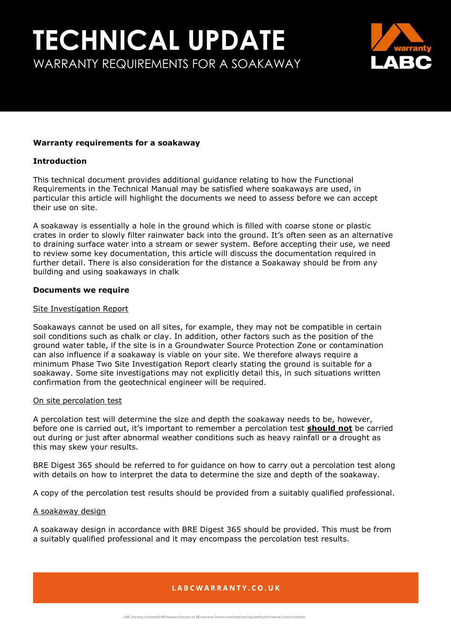

#### **Warranty requirements for a soakaway**

#### **Introduction**

This technical document provides additional guidance relating to how the Functional Requirements in the Technical Manual may be satisfied where soakaways are used, in particular this article will highlight the documents we need to assess before we can accept their use on site.

A soakaway is essentially a hole in the ground which is filled with coarse stone or plastic crates in order to slowly filter rainwater back into the ground. It's often seen as an alternative to draining surface water into a stream or sewer system. Before accepting their use, we need to review some key documentation, this article will discuss the documentation required in further detail. There is also consideration for the distance a Soakaway should be from any building and using soakaways in chalk

#### **Documents we require**

#### Site Investigation Report

Soakaways cannot be used on all sites, for example, they may not be compatible in certain soil conditions such as chalk or clay. In addition, other factors such as the position of the ground water table, if the site is in a Groundwater Source Protection Zone or contamination can also influence if a soakaway is viable on your site. We therefore always require a minimum Phase Two Site Investigation Report clearly stating the ground is suitable for a soakaway. Some site investigations may not explicitly detail this, in such situations written confirmation from the geotechnical engineer will be required.

#### On site percolation test

A percolation test will determine the size and depth the soakaway needs to be, however, before one is carried out, it's important to remember a percolation test **should not** be carried out during or just after abnormal weather conditions such as heavy rainfall or a drought as this may skew your results.

BRE Digest 365 should be referred to for guidance on how to carry out a percolation test along with details on how to interpret the data to determine the size and depth of the soakaway.

A copy of the percolation test results should be provided from a suitably qualified professional.

#### A soakaway design

A soakaway design in accordance with BRE Digest 365 should be provided. This must be from a suitably qualified professional and it may encompass the percolation test results.

## LABCWARRANTY.CO.UK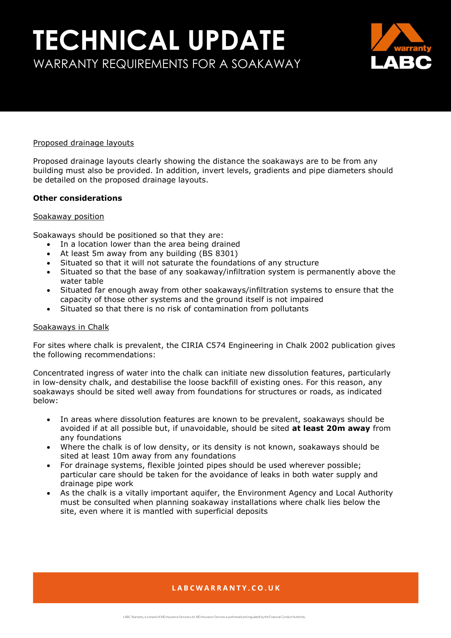## **TECHNICAL UPDATE** WARRANTY REQUIREMENTS FOR A SOAKAWAY



#### Proposed drainage layouts

Proposed drainage layouts clearly showing the distance the soakaways are to be from any building must also be provided. In addition, invert levels, gradients and pipe diameters should be detailed on the proposed drainage layouts.

#### **Other considerations**

#### Soakaway position

Soakaways should be positioned so that they are:

- In a location lower than the area being drained
- At least 5m away from any building (BS 8301)
- Situated so that it will not saturate the foundations of any structure
- Situated so that the base of any soakaway/infiltration system is permanently above the water table
- Situated far enough away from other soakaways/infiltration systems to ensure that the capacity of those other systems and the ground itself is not impaired
- Situated so that there is no risk of contamination from pollutants

#### Soakaways in Chalk

For sites where chalk is prevalent, the CIRIA C574 Engineering in Chalk 2002 publication gives the following recommendations:

Concentrated ingress of water into the chalk can initiate new dissolution features, particularly in low-density chalk, and destabilise the loose backfill of existing ones. For this reason, any soakaways should be sited well away from foundations for structures or roads, as indicated below:

- In areas where dissolution features are known to be prevalent, soakaways should be avoided if at all possible but, if unavoidable, should be sited **at least 20m away** from any foundations
- Where the chalk is of low density, or its density is not known, soakaways should be sited at least 10m away from any foundations
- For drainage systems, flexible jointed pipes should be used wherever possible; particular care should be taken for the avoidance of leaks in both water supply and drainage pipe work
- As the chalk is a vitally important aquifer, the Environment Agency and Local Authority must be consulted when planning soakaway installations where chalk lies below the site, even where it is mantled with superficial deposits

### LABCWARRANTY.CO.UK